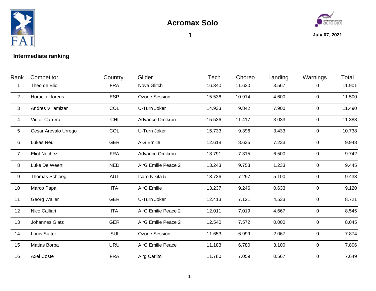



**1**

## **July 07, 2021**

## **Intermediate ranking**

| Rank            | Competitor             | Country    | Glider                   | Tech   | Choreo | Landing | Warnings       | Total  |
|-----------------|------------------------|------------|--------------------------|--------|--------|---------|----------------|--------|
| 1               | Theo de Blic           | <b>FRA</b> | Nova Glitch              | 16.340 | 11.630 | 3.567   | 0              | 11.901 |
| 2               | Horacio Llorens        | <b>ESP</b> | Ozone Session            | 15.536 | 10.914 | 4.600   | $\overline{0}$ | 11.500 |
| 3               | Andres Villamizar      | COL        | U-Turn Joker             | 14.933 | 9.842  | 7.900   | 0              | 11.490 |
| 4               | Victor Carrera         | <b>CHI</b> | <b>Advance Omikron</b>   | 15.536 | 11.417 | 3.033   | 0              | 11.388 |
| $5\phantom{.0}$ | Cesar Arevalo Urrego   | COL        | U-Turn Joker             | 15.733 | 9.396  | 3.433   | 0              | 10.738 |
| 6               | Lukas Neu              | <b>GER</b> | AiG Emilie               | 12.618 | 8.635  | 7.233   | 0              | 9.948  |
| $\overline{7}$  | <b>Eliot Nochez</b>    | <b>FRA</b> | Advance Omikron          | 13.791 | 7.315  | 6.500   | 0              | 9.742  |
| 8               | Luke De Weert          | <b>NED</b> | AirG Emilie Peace 2      | 13.243 | 9.753  | 1.233   | $\overline{0}$ | 9.445  |
| 9               | <b>Thomas Schloegl</b> | <b>AUT</b> | Icaro Nikita 5           | 13.736 | 7.297  | 5.100   | $\overline{0}$ | 9.433  |
| 10              | Marco Papa             | <b>ITA</b> | <b>AirG</b> Emilie       | 13.237 | 9.246  | 0.633   | $\overline{0}$ | 9.120  |
| 11              | Georg Waller           | <b>GER</b> | U-Turn Joker             | 12.413 | 7.121  | 4.533   | $\overline{0}$ | 8.721  |
| 12              | Nico Calliari          | <b>ITA</b> | AirG Emilie Peace 2      | 12.011 | 7.019  | 4.667   | 0              | 8.545  |
| 13              | Johannes Glatz         | <b>GER</b> | AirG Emilie Peace 2      | 12.540 | 7.572  | 0.000   | $\overline{0}$ | 8.045  |
| 14              | Louis Sutter           | SUI        | Ozone Session            | 11.653 | 6.999  | 2.067   | 0              | 7.874  |
| 15              | Matias Borba           | <b>URU</b> | <b>AirG Emilie Peace</b> | 11.183 | 6.780  | 3.100   | $\overline{0}$ | 7.806  |
| 16              | Axel Coste             | <b>FRA</b> | Airg Carlito             | 11.780 | 7.059  | 0.567   | $\overline{0}$ | 7.649  |